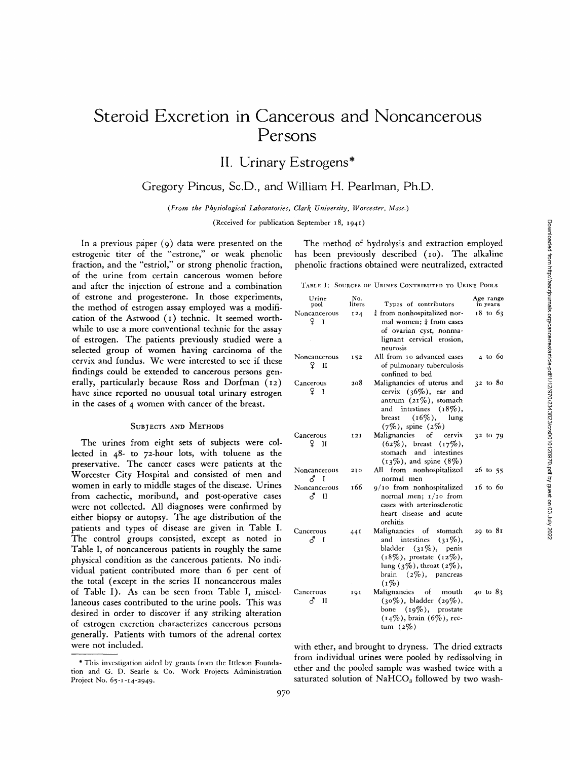# **Steroid Excretion in Cancerous and Noncancerous Persons**

**II. Urinary Estrogens\*** 

Gregory Pincus, Sc.D., and William H. Pearlman, Ph.D.

*(From the Physiological Laboratories, Clark University, Worcester, Mass.)* 

(Received for publication September i8, 1941)

In a previous paper (9) data were presented on the estrogenic titer of the "estrone," or weak phenolic fraction, and the "estriol," or strong phenolic fraction, of the urine from certain cancerous women before and after the injection of estrone and a combination of estrone and progesterone. In those experiments, the method of estrogen assay employed was a modification of the Astwood (I) technic. It seemed worthwhile to use a more conventional technic for the assay of estrogen. The patients previously studied were a selected group of women having carcinoma of the cervix and fundus. We were interested to see if these findings could be extended to cancerous persons generally, particularly because Ross and Dorfman (I2) have since reported no unusual total urinary estrogen in the cases of 4 women with cancer of the breast.

#### **SUBJECTS AND METHODS**

The urines from eight sets of subjects were collected in  $48-$  to  $72$ -hour lots, with toluene as the preservative. The cancer cases were patients at the Worcester City Hospital and consisted of men and women in early to middle stages of the disease. Urines from cachectic, moribund, and post-operative cases were not collected. All diagnoses were confirmed by either biopsy or autopsy. The age distribution of the patients and types of disease are given in Table I. The control groups consisted, except as noted in Table I, of noncancerous patients in roughly the same physical condition as the cancerous patients. No individual patient contributed more than 6 per cent of the total (except in the series II noncancerous males of Table I). As can be seen from Table I, miscellaneous cases contributed to the urine pools. This was desired in order to discover if any striking alteration of estrogen excretion characterizes cancerous persons generally. Patients with tumors of the adrenal cortex were not included.

The method of hydrolysis and extraction employed has been previously described (10). The alkaline phenolic fractions obtained were neutralized, extracted

TABLE I: SOURCES OF URINES CONTRIBUTIED TO URINE POOLS

| Urine<br>pool                       | No.<br>liters | Types of contributors                                                                                                                                                                                  | Age range<br>in years |
|-------------------------------------|---------------|--------------------------------------------------------------------------------------------------------------------------------------------------------------------------------------------------------|-----------------------|
| Noncancerous<br>ç<br>$\mathbf I$    | 124           | <sup>3</sup> from nonhospitalized nor-<br>mal women; $\frac{1}{4}$ from cases<br>of ovarian cyst, nonma-<br>lignant cervical erosion,<br>neurosis                                                      | $18$ to $63$          |
| Noncancerous<br>Ϋ<br>$\mathbf{I}$   | 152           | All from 10 advanced cases<br>of pulmonary tuberculosis<br>confined to bed                                                                                                                             | 4 to 60               |
| Cancerous<br>q<br>$\mathbf{I}$      | 208           | Malignancies of uterus and<br>cervix $(36\%)$ , ear and<br>antrum $(21\%)$ , stomach<br>and intestines $(18\%)$ ,<br>$(16\%)$ ,<br>lung<br>breast<br>$(7\%)$ , spine $(2\%)$                           | $32$ to $80$          |
| Cancerous<br>q<br>H                 | 12I           | Malignancies of<br>cervix<br>$(62\%)$ , breast<br>$(17\%)$<br>stomach and intestines<br>$(13\%)$ , and spine $(8\%)$                                                                                   | 32 to 79              |
| Noncancerous<br>♂<br>$\blacksquare$ | 210           | All from nonhospitalized<br>normal men                                                                                                                                                                 | $26$ to 55            |
| Noncancerous<br>ਨੂੰ II              | 166           | 9/10 from nonhospitalized<br>normal men; $1/10$ from<br>cases with arteriosclerotic<br>heart disease and acute<br>orchitis                                                                             | 16 to 60              |
| Cancerous<br>δ<br>I                 | 44I           | Malignancies of<br>stomach<br>and<br>intestines<br>$(31\%)$<br>bladder<br>$(31\%)$ , penis<br>$(18\%)$ , prostate $(12\%)$ ,<br>lung $(3\%)$ , throat $(2\%)$ ,<br>brain $(2\%)$ , pancreas<br>$(1\%)$ | $29$ to $81$          |
| Cancerous<br>J<br>и                 | 191           | Malignancies of mouth<br>$(30\%)$ , bladder $(29\%)$ ,<br>bone $(19\%)$ , prostate<br>$(14\%)$ , brain $(6\%)$ , rec-<br>tum $(2\%)$                                                                   | 40 to 83              |

with ether, and brought to dryness. The dried extracts from individual urines were pooled by redissolving in ether and the pooled sample was washed twice with a saturated solution of  $NAHCO<sub>3</sub>$  followed by two wash-

<sup>\*</sup> This investigation aided by grants from the Ittleson Foundation and G. D. Searle & Co. Work Projects Administration Project No. 65-1-14-2949.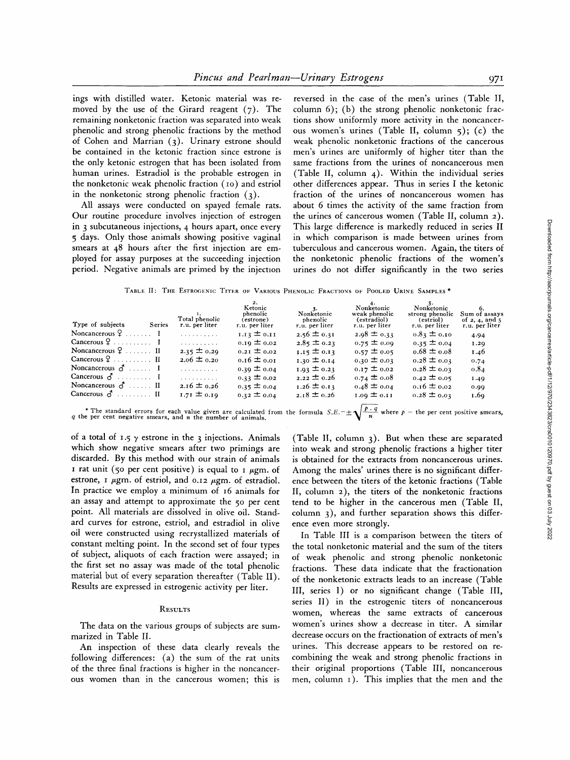ings with distilled water. Ketonic material was removed by the use of the Girard reagent  $(7)$ . The remaining nonketonic fraction was separated into weak phenolic and strong phenolic fractions by the method of Cohen and Marrian (3). Urinary estrone should be contained in the ketonic fraction since estrone is the only ketonic estrogen that has been isolated from human urines. Estradiol is the probable estrogen in the nonketonic weak phenolic fraction (io) and estriol in the nonketonic strong phenolic fraction (3).

All assays were conducted on spayed female rats. Our routine procedure involves injection of estrogen in 3 subcutaneous injections, 4 hours apart, once every 5 days. Only those animals showing positive vaginal smears at 48 hours after the first injection are employed for assay purposes at the succeeding injection period. Negative animals are primed by the injection

reversed in the case of the men's urines (Table II, column 6); (b) the strong phenolic nonketonic fractions show uniformly more activity in the noncancerous women's urines (Table II, column 5); (c) the weak phenolic nonketonic fractions of the cancerous men's urines are uniformly of higher titer than the same fractions from the urines of noncancerous men (Table II, column 4). Within the individual series other differences appear. Thus in series I the ketonic fraction of the urines of noncancerous women has about 6 times the activity of the same fraction from the urines of cancerous women (Table II, column 2). This large difference is markedly reduced in series II in which comparison is made between urines from tuberculous and cancerous women. Again, the titers of the nonketonic phenolic fractions of the women's urines do not differ significantly in the two series

TABLE II: THE ESTROGENIC TITER OF VARIOUS PHENOLIC FRACTIONS OF POOLED URINE SAMPLES \*

| Type of subjects<br>Series            | Total phenolic<br>r.u. per liter | Ketonic<br>phenolic<br>(estrone)<br>r.u. per liter | Nonketonic<br>phenolic<br>r.u. per liter | Nonketonic<br>weak phenolic<br>(estradiol)<br>r.u. per liter | Nonketonic<br>strong phenolic<br>(estriol)<br>r.u. per liter | Sum of assays<br>of $2, 4,$ and 5<br>r.u. per liter |
|---------------------------------------|----------------------------------|----------------------------------------------------|------------------------------------------|--------------------------------------------------------------|--------------------------------------------------------------|-----------------------------------------------------|
| Noncancerous $9 \ldots 1$             | .                                | 1.13 $\pm$ 0.11                                    | $2.56 \pm 0.31$                          | $2.98 \pm 0.33$                                              | $0.83 \pm 0.10$                                              | 4.94                                                |
| Cancerous $9 \ldots \ldots \ldots$ I  | .                                | $0.19 \pm 0.02$                                    | $2.85 \pm 0.23$                          | $0.75 \pm 0.09$                                              | $0.35 \pm 0.04$                                              | 1.29                                                |
| Noncancerous $9 \ldots \ldots \ldots$ | $2.35 \pm 0.29$                  | $0.21 \pm 0.02$                                    | 1.15 $\pm$ 0.13                          | $0.57 \pm 0.05$                                              | $0.68 \pm 0.08$                                              | 1.46                                                |
| Cancerous $9 \ldots \ldots \ldots$ II | $2.06 \pm 0.20$                  | $0.16 \pm 0.01$                                    | $1.30 \pm 0.14$                          | $0.30 \pm 0.03$                                              | $0.28 \pm 0.03$                                              | 0.74                                                |
| Noncancerous $\vec{d}$ I              | .                                | $0.39 \pm 0.04$                                    | $1.93 \pm 0.23$                          | $0.17 \pm 0.02$                                              | $0.28 \pm 0.03$                                              | 0.84                                                |
| Cancerous $\delta$ I                  | .                                | $0.33 \pm 0.02$                                    | $2.22 \pm 0.26$                          | $0.74 \pm 0.08$                                              | $0.42 \pm 0.05$                                              | 1.49                                                |
| Noncancerous $\sigma$ II              | $2.16 \pm 0.26$                  | $0.35 \pm 0.04$                                    | $1.26 \pm 0.13$                          | $0.48 \pm 0.04$                                              | $0.16 \pm 0.02$                                              | 0.00                                                |
| Cancerous $\delta$ II                 | $1.71 \pm 0.19$                  | $0.32 \pm 0.04$                                    | $2.18 \pm 0.26$                          | $1.09 \pm 0.11$                                              | $0.28 \pm 0.02$                                              | 1.60                                                |

\* The standard errors for each value given are calculated from the formula  $S.E. = \pm \sqrt{\frac{p \cdot q}{n}}$  where  $p =$  the per cent positive smears, and n the number of animals.

of a total of 1.5  $\gamma$  estrone in the 3 injections. Animals which show negative smears after two primings are discarded. By this method with our strain of animals I rat unit (50 per cent positive) is equal to I  $\mu$ gm. of estrone,  $\bar{1}$   $\mu$ gm. of estriol, and 0.12  $\mu$ gm. of estradiol. In practice we employ a minimum of i6 animals for an assay and attempt to approximate the 50 per cent point. All materials are dissolved in olive oil. Standard curves for estrone, estriol, and estradiol in olive oil were constructed using recrystallized materials of constant melting point. In the second set of four types of subject, aliquots of each fraction were assayed; in the first set no assay was made of the total phenolic material but of every separation thereafter (Table II). Results are expressed in estrogenic activity per liter.

#### **RESULTS**

The data on the various groups of subjects are summarized in Table II.

An inspection of these data clearly reveals the following differences: (a) the sum of the rat units of the three final fractions is higher in the noncancerous women than in the cancerous women; this is (Table II, column 3). But when these are separated into weak and strong phenolic fractions a higher titer is obtained for the extracts from noncancerous urines. Among the males' urines there is no significant difference between the titers of the ketonic fractions (Table II, column 2), the titers of the nonketonic fractions tend to be higher in the cancerous men (Table II, column 3), and further separation shows this difference even more strongly.

In Table III is a comparison between the titers of the total nonketonic material and the sum of the titers of weak phenolic and strong phenolic nonketonic fractions. These data indicate that the fractionation of the nonketonic extracts leads to an increase (Table III, series I) or no significant change (Table III, series II) in the estrogenic titers of noncancerous women, whereas the same extracts of cancerous women's urines show a decrease in titer. A similar decrease occurs on the fractionation of extracts of men's urines. This decrease appears to be restored on recombining the weak and strong phenolic fractions in their original proportions (Table III, noncancerous men, column i). This implies that the men and the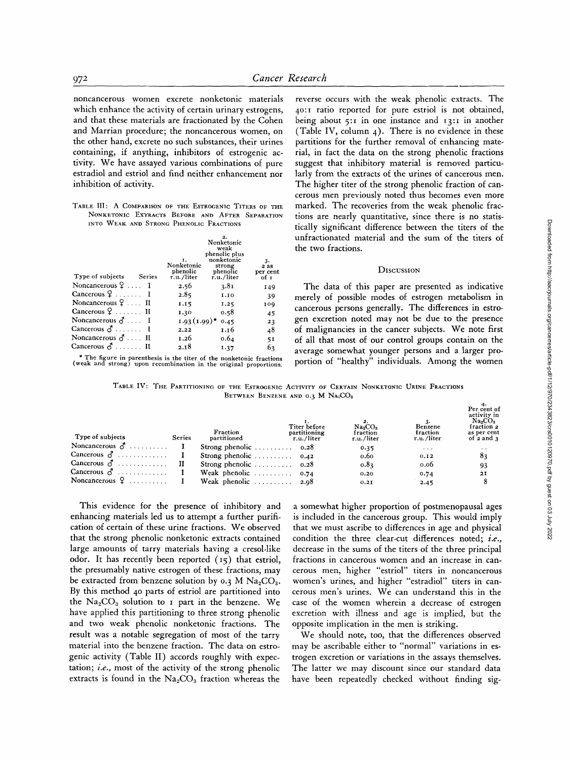noncancerous women excrete nonketonic materials which enhance the activity of certain urinary estrogens, and that these materials are fractionated by the Cohen and Marrian procedure; the noncancerous women, on the other hand, excrete no such substances, their urines containing, if anything, inhibitors of estrogenic activity. We have assayed various combinations of pure estradiol and estriol and find neither enhancement nor inhibition of activity.

TABLE III: A COMPARISON OF THE ESTROGENIC TITERS OF THE NONKETONIC EXTRACTS BEFORE AND AFTER SEPARATION INTO WEAK AND STRONG PHENOLIC FRACTIONS

| Type of subjects Series        | Ι.<br>Nonketonic<br>phenolic<br>r.u./liter | Nonketonic<br>weak<br>phenolic plus<br>nonketonic<br>strong<br>phenolic<br>r.u./liter | 3.<br>2 as<br>per cent<br>of 1 |
|--------------------------------|--------------------------------------------|---------------------------------------------------------------------------------------|--------------------------------|
| Noncancerous $9 \ldots 1$      | 2.56                                       | 3.81                                                                                  | 149                            |
| Cancerous $9 \ldots 1$         | 2.85                                       | 1.10                                                                                  | 39                             |
| Noncancerous $9 \ldots$ II     | 1.15                                       | 1.25                                                                                  | 109                            |
| Cancerous $9 \ldots \ldots$ II | 1.30                                       | 0.58                                                                                  | 45                             |
| Noncancerous $\vec{d}$ I       | $1.93(1.99)$ *                             | 0.45                                                                                  | 23                             |
| Cancerous $\delta$ I           | 2.22                                       | 1.16                                                                                  | 48                             |
| Noncancerous $\vec{d}$ II      | 1.26                                       | 0.64                                                                                  | 51                             |
| Cancerous $\delta$ II          | 2.18                                       | 1.37                                                                                  | 63                             |

\* The figure in parenthesis is the titer of the nonketonic fractions (weak and strong) upon recombination in the original proportions.

reverse occurs with the weak phenolic extracts. The 4o:i ratio reported for pure estriol is not obtained, being about  $5:1$  in one instance and  $13:1$  in another (Table IV, column  $_4$ ). There is no evidence in these partitions for the further removal of enhancing material, in fact the data on the strong phenolic fractions suggest that inhibitory material is removed particularly from the extracts of the urines of cancerous men. The higher titer of the strong phenolic fraction of cancerous men previously noted thus becomes even more marked. The recoveries from the weak phenolic fractions are nearly quantitative, since there is no statistically significant difference between the titers of the unfractionated material and the sum of the titers of the two fractions.

### **DISCUSSION**

The data of this paper are presented as indicative merely of possible modes of estrogen metabolism in cancerous persons generally. The differences in estrogen excretion noted may not be due to the presence of malignancies in the cancer subjects. We note first of all that most of our control groups contain on the average somewhat younger persons and a larger proportion of "healthy" individuals. Among the women

TABLE IV: THE PARTITIONING OF THE ESTROGENIC ACTIVITY OF CERTAIN NONKETONIC URINE FRACTIONS BETWEEN BENZENE AND 0.3 M NA<sub>2</sub>CO<sub>3</sub>

| Type of subjects      | <b>Series</b> | Fraction<br>partitioned                     | Titer before<br>partitioning<br>r.u./liter | $Na_2CO_3$<br>fraction<br>r.u./liter | Benzene<br>fraction<br>r.u./liter | Per cent of<br>activity in<br>Na <sub>2</sub> CO <sub>3</sub><br>fraction 2<br>as per cent<br>of $2$ and $3$ |
|-----------------------|---------------|---------------------------------------------|--------------------------------------------|--------------------------------------|-----------------------------------|--------------------------------------------------------------------------------------------------------------|
| Noncancerous $\sigma$ |               | Strong phenolic $\ldots \ldots \ldots$ 0.28 |                                            | 0.35                                 | $\cdots$                          | $\cdot$ $\cdot$                                                                                              |
| Cancerous $\delta$    |               | Strong phenolic $\ldots \ldots \ldots$ 0.42 |                                            | 0.60                                 | 0.12                              | 83                                                                                                           |
| Cancerous $\delta$    |               | Strong phenolic $\ldots \ldots \ldots$ 0.28 |                                            | 0.83                                 | 0.06                              | 93                                                                                                           |
| Cancerous $\delta$    |               | Weak phenolic $\ldots \ldots \ldots$ 0.74   |                                            | 0,20                                 | 0.74                              | 2I                                                                                                           |
| Noncancerous $\Omega$ |               | Weak phenolic $\ldots \ldots \ldots$ 2.98   |                                            | 0.21                                 | 2.45                              |                                                                                                              |

This evidence for the presence of inhibitory and enhancing materials led us to attempt a further purification of certain of these urine fractions. We observed that the strong phenolic nonketonic extracts contained large amounts of tarry materials having a cresol-like odor. It has recently been reported (I5) that estriol, the presumably native estrogen of these fractions, may be extracted from benzene solution by 0.3 M  $Na<sub>2</sub>CO<sub>3</sub>$ . By this method 40 parts of estriol are partitioned into the  $Na<sub>2</sub>CO<sub>3</sub>$  solution to I part in the benzene. We have applied this partitioning to three strong phenolic and two weak phenolic nonketonic fractions. The result was a notable segregation of most of the tarry material into the benzene fraction. The data on estrogenic activity (Table II) accords roughly with expectation; *i.e.,* most of the activity of the strong phenolic extracts is found in the  $Na<sub>2</sub>CO<sub>3</sub>$  fraction whereas the

a somewhat higher proportion of postmenopausal ages is included in the cancerous group. This would imply that we must ascribe to differences in age and physical condition the three clear-cut differences noted; *i.e.,*  decrease in the sums of the titers of the three principal fractions in cancerous women and an increase in cancerous men, higher "estriol" titers in noncancerous women's urines, and higher "estradiol" titers in cancerous men's urines. We can understand this in the case of the women wherein a decrease of estrogen excretion with illness and age is implied, but the opposite implication in the men is striking.

We should note, too, that the differences observed may be ascribable either to "normal" variations in estrogen excretion or variations in the assays themselves. The latter we may discount since our standard data have been repeatedly checked without finding sig-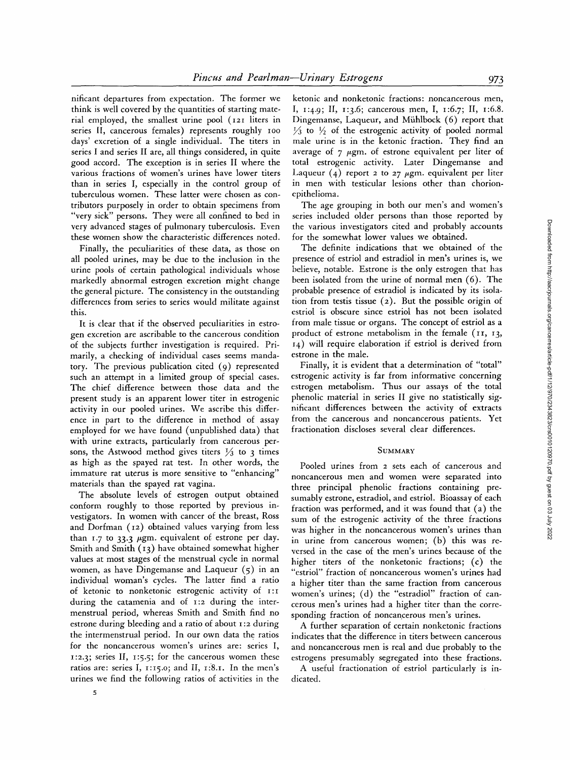nificant departures from expectation. The former we think is well covered by the quantities of starting material employed, the smallest urine pool (I2I liters in series II, cancerous females) represents roughly ioo days' excretion of a single individual. The titers in series I and series II are, all things considered, in quite good accord. The exception is in series II where the various fractions of women's urines have lower titers than in series I, especially in the control group of tuberculous women. These latter were chosen as contributors purposely in order to obtain specimens from "very sick" persons. They were all confined to bed in very advanced stages of pulmonary tuberculosis. Even these women show the characteristic differences noted.

Finally, the peculiarities of these data, as those on all pooled urines, may be due to the inclusion in the urine pools of certain pathological individuals whose markedly abnormal estrogen excretion might change the general picture. The consistency in the outstanding differences from series to series would militate against this.

It is clear that if the observed peculiarities in estrogen excretion are ascribable to the cancerous condition of the subjects further investigation is required. Primarily, a checking of individual cases seems mandatory. The previous publication cited (9) represented such an attempt in a limited group of special cases. The chief difference between those data and the present study is an apparent lower titer in estrogenic activity in our pooled urines. We ascribe this difference in part to the difference in method of assay employed for we have found (unpublished data) that with urine extracts, particularly from cancerous persons, the Astwood method gives titers  $\frac{1}{3}$  to 3 times as high as the spayed rat test. In other words, the immature rat uterus is more sensitive to "enhancing" materials than the spayed rat vagina.

The absolute levels of estrogen output obtained conform roughly to those reported by previous investigators. In women with cancer of the breast, Ross and Dorfman (12) obtained values varying from less than  $1.7$  to  $33.3$   $\mu$ gm. equivalent of estrone per day. Smith and Smith (13) have obtained somewhat higher values at most stages of the menstrual cycle in normal women, as have Dingemanse and Laqueur (5) in an individual woman's cycles. The latter find a ratio of ketonic to nonketonic estrogenic activity of  $I:I$ during the catamenia and of 1:2 during the intermenstrual period, whereas Smith and Smith find no estrone during bleeding and a ratio of about i :2 during the intermenstrual period. In our own data the ratios for the noncancerous women's urines are: series I, i:2.3; series II, I:5.5; for the cancerous women these ratios are: series I,  $1:15.0$ ; and II,  $1:8.1$ . In the men's urines we find the following ratios of activities in the

ketonic and nonketonic fractions: noncancerous men, I, i:4.9; *II,* I:3.6; cancerous men, I, 1:6.7; II, i:6.8. Dingemanse, Laqueur, and Miihlbock (6) report that  $\frac{1}{2}$  to  $\frac{1}{2}$  of the estrogenic activity of pooled normal male urine is in the ketonic fraction. They find an average of  $\gamma$   $\mu$ gm. of estrone equivalent per liter of total estrogenic activity. Later Dingemanse and Laqueur (4) report 2 to 27  $\mu$ gm. equivalent per liter in men with testicular lesions other than chorionepithelioma.

The age grouping in both our men's and women's series included older persons than those reported by the various investigators cited and probably accounts for the somewhat lower values we obtained.

The definite indications that we obtained of the presence of estriol and estradiol in men's urines is, we believe, notable. Estrone is the only estrogen that has been isolated from the urine of normal men (6). The probable presence of estradiol is indicated by its isolation from testis tissue (2). But the possible origin of estriol is obscure since estriol has not been isolated from male tissue or organs. The concept of estriol as a product of estrone metabolism in the female (11, 13, i4) will require elaboration if estriol is derived from estrone in the male.

Finally, it is evident that a determination of "total" estrogenic activity is far from informative concerning estrogen metabolism. Thus our assays of the total phenolic material in series II give no statistically significant differences between the activity of extracts from the cancerous and noncancerous patients. Yet fractionation discloses several clear differences.

#### **SUMMARY**

Pooled urines from 2 sets each of cancerous and noncancerous men and women were separated into three principal phenolic fractions containing presumably estrone, estradiol, and estriol. Bioassay of each fraction was performed, and it was found that (a) the sum of the estrogenic activity of the three fractions was higher in the noncancerous women's urines than in urine from cancerous women; (b) this was reversed in the case of the men's urines because of the higher titers of the nonketonic fractions; (c) the "estriol" fraction of noncancerous women's urines had a higher titer than the same fraction from cancerous women's urines; (d) the "estradiol" fraction of cancerous men's urines had a higher titer than the corresponding fraction of noncancerous men's urines.

A further separation of certain nonketonic fractions indicates that the difference in titers between cancerous and noncancerous men is real and due probably to the estrogens presumably segregated into these fractions.

A useful fractionation of estriol particularly is indicated.